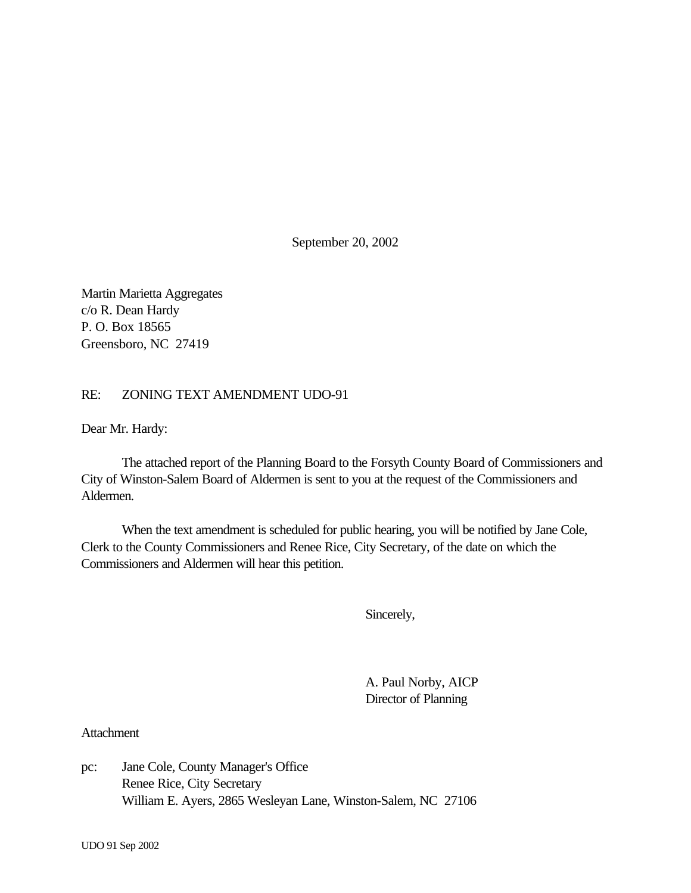September 20, 2002

Martin Marietta Aggregates c/o R. Dean Hardy P. O. Box 18565 Greensboro, NC 27419

## RE: ZONING TEXT AMENDMENT UDO-91

Dear Mr. Hardy:

The attached report of the Planning Board to the Forsyth County Board of Commissioners and City of Winston-Salem Board of Aldermen is sent to you at the request of the Commissioners and Aldermen.

When the text amendment is scheduled for public hearing, you will be notified by Jane Cole, Clerk to the County Commissioners and Renee Rice, City Secretary, of the date on which the Commissioners and Aldermen will hear this petition.

Sincerely,

A. Paul Norby, AICP Director of Planning

**Attachment** 

pc: Jane Cole, County Manager's Office Renee Rice, City Secretary William E. Ayers, 2865 Wesleyan Lane, Winston-Salem, NC 27106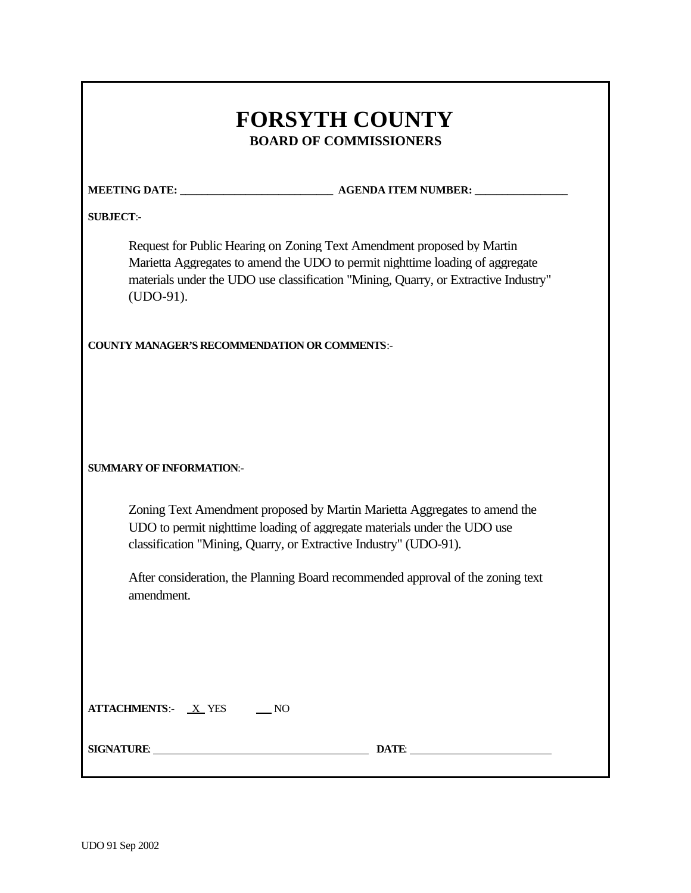| <b>FORSYTH COUNTY</b><br><b>BOARD OF COMMISSIONERS</b>  |                                                                                                                                                                                                                                                |  |
|---------------------------------------------------------|------------------------------------------------------------------------------------------------------------------------------------------------------------------------------------------------------------------------------------------------|--|
|                                                         |                                                                                                                                                                                                                                                |  |
| <b>SUBJECT:-</b>                                        |                                                                                                                                                                                                                                                |  |
| $(UDO-91).$                                             | Request for Public Hearing on Zoning Text Amendment proposed by Martin<br>Marietta Aggregates to amend the UDO to permit nighttime loading of aggregate<br>materials under the UDO use classification "Mining, Quarry, or Extractive Industry" |  |
| <b>COUNTY MANAGER'S RECOMMENDATION OR COMMENTS:-</b>    |                                                                                                                                                                                                                                                |  |
| <b>SUMMARY OF INFORMATION:-</b>                         |                                                                                                                                                                                                                                                |  |
|                                                         | Zoning Text Amendment proposed by Martin Marietta Aggregates to amend the<br>UDO to permit nighttime loading of aggregate materials under the UDO use<br>classification "Mining, Quarry, or Extractive Industry" (UDO-91).                     |  |
| amenament.                                              | After consideration, the Planning Board recommended approval of the zoning text                                                                                                                                                                |  |
|                                                         |                                                                                                                                                                                                                                                |  |
| $ATTACHMENTS: \quad X \text{YES} \quad \quad \text{NO}$ |                                                                                                                                                                                                                                                |  |
| SIGNATURE: New York SIGNATURE:                          | DATE:                                                                                                                                                                                                                                          |  |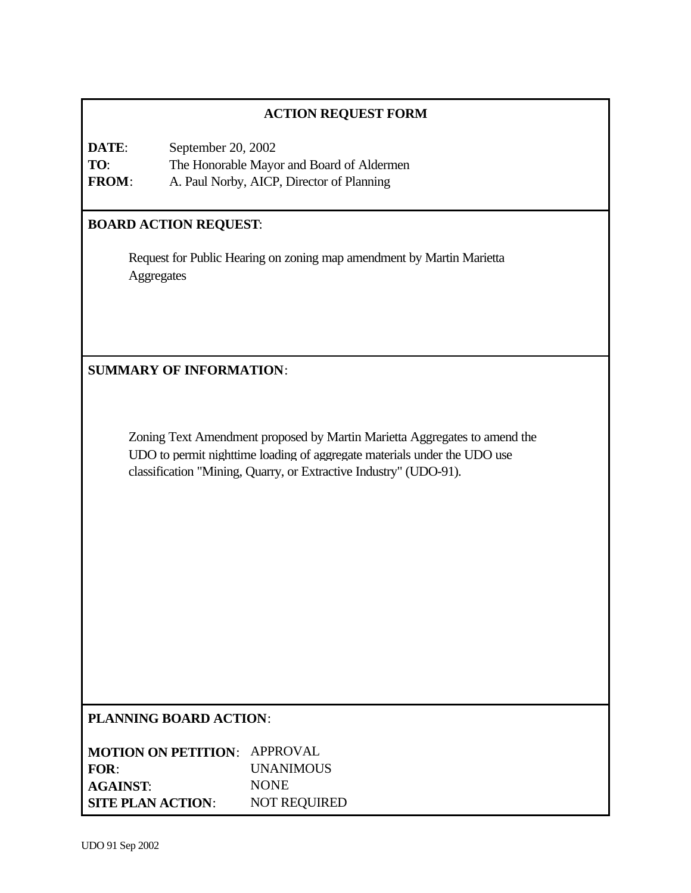## **ACTION REQUEST FORM**

**DATE**: September 20, 2002 **TO**: The Honorable Mayor and Board of Aldermen **FROM**: A. Paul Norby, AICP, Director of Planning

## **BOARD ACTION REQUEST**:

Request for Public Hearing on zoning map amendment by Martin Marietta **Aggregates** 

**SUMMARY OF INFORMATION**:

Zoning Text Amendment proposed by Martin Marietta Aggregates to amend the UDO to permit nighttime loading of aggregate materials under the UDO use classification "Mining, Quarry, or Extractive Industry" (UDO-91).

### **PLANNING BOARD ACTION**:

| <b>MOTION ON PETITION: APPROVAL</b> |                     |
|-------------------------------------|---------------------|
| FOR:                                | <b>UNANIMOUS</b>    |
| <b>AGAINST:</b>                     | <b>NONE</b>         |
| <b>SITE PLAN ACTION:</b>            | <b>NOT REQUIRED</b> |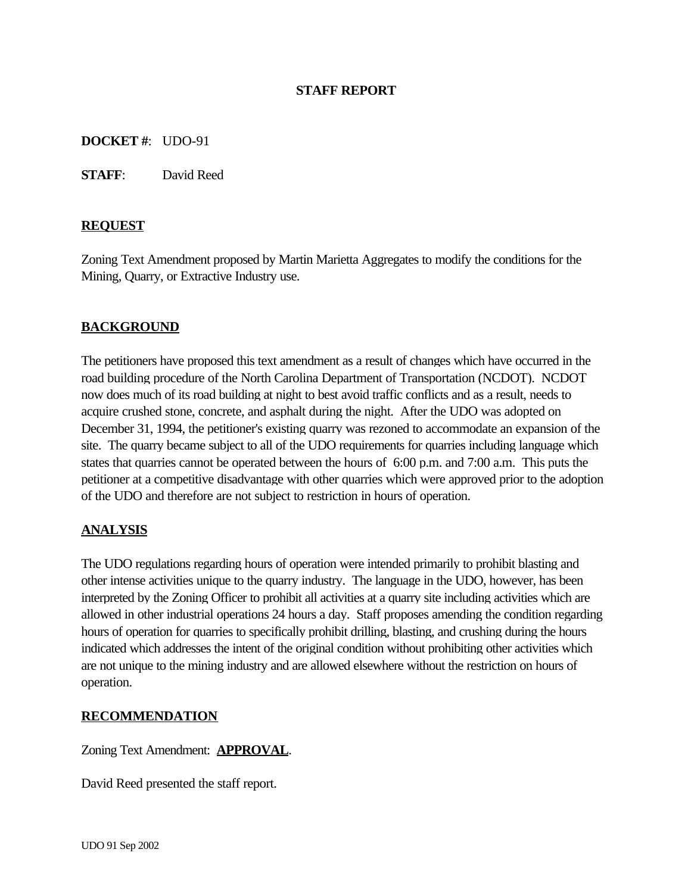## **STAFF REPORT**

### **DOCKET #**: UDO-91

**STAFF**: David Reed

#### **REQUEST**

Zoning Text Amendment proposed by Martin Marietta Aggregates to modify the conditions for the Mining, Quarry, or Extractive Industry use.

### **BACKGROUND**

The petitioners have proposed this text amendment as a result of changes which have occurred in the road building procedure of the North Carolina Department of Transportation (NCDOT). NCDOT now does much of its road building at night to best avoid traffic conflicts and as a result, needs to acquire crushed stone, concrete, and asphalt during the night. After the UDO was adopted on December 31, 1994, the petitioner's existing quarry was rezoned to accommodate an expansion of the site. The quarry became subject to all of the UDO requirements for quarries including language which states that quarries cannot be operated between the hours of 6:00 p.m. and 7:00 a.m. This puts the petitioner at a competitive disadvantage with other quarries which were approved prior to the adoption of the UDO and therefore are not subject to restriction in hours of operation.

### **ANALYSIS**

The UDO regulations regarding hours of operation were intended primarily to prohibit blasting and other intense activities unique to the quarry industry. The language in the UDO, however, has been interpreted by the Zoning Officer to prohibit all activities at a quarry site including activities which are allowed in other industrial operations 24 hours a day. Staff proposes amending the condition regarding hours of operation for quarries to specifically prohibit drilling, blasting, and crushing during the hours indicated which addresses the intent of the original condition without prohibiting other activities which are not unique to the mining industry and are allowed elsewhere without the restriction on hours of operation.

#### **RECOMMENDATION**

Zoning Text Amendment: **APPROVAL**.

David Reed presented the staff report.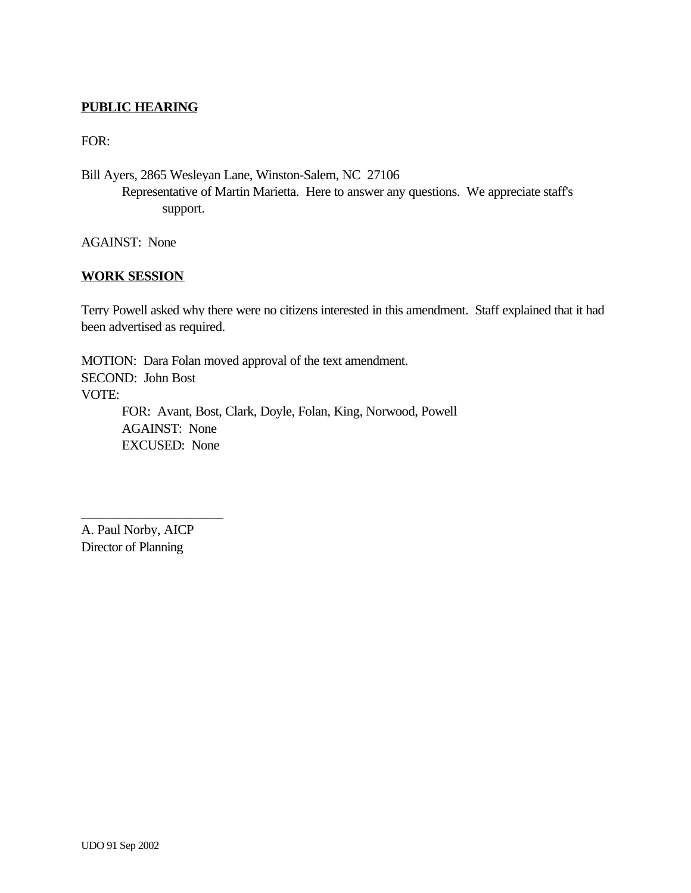## **PUBLIC HEARING**

FOR:

Bill Ayers, 2865 Wesleyan Lane, Winston-Salem, NC 27106 Representative of Martin Marietta. Here to answer any questions. We appreciate staff's support.

AGAINST: None

#### **WORK SESSION**

Terry Powell asked why there were no citizens interested in this amendment. Staff explained that it had been advertised as required.

MOTION: Dara Folan moved approval of the text amendment. SECOND: John Bost VOTE: FOR: Avant, Bost, Clark, Doyle, Folan, King, Norwood, Powell AGAINST: None EXCUSED: None

A. Paul Norby, AICP Director of Planning

\_\_\_\_\_\_\_\_\_\_\_\_\_\_\_\_\_\_\_\_\_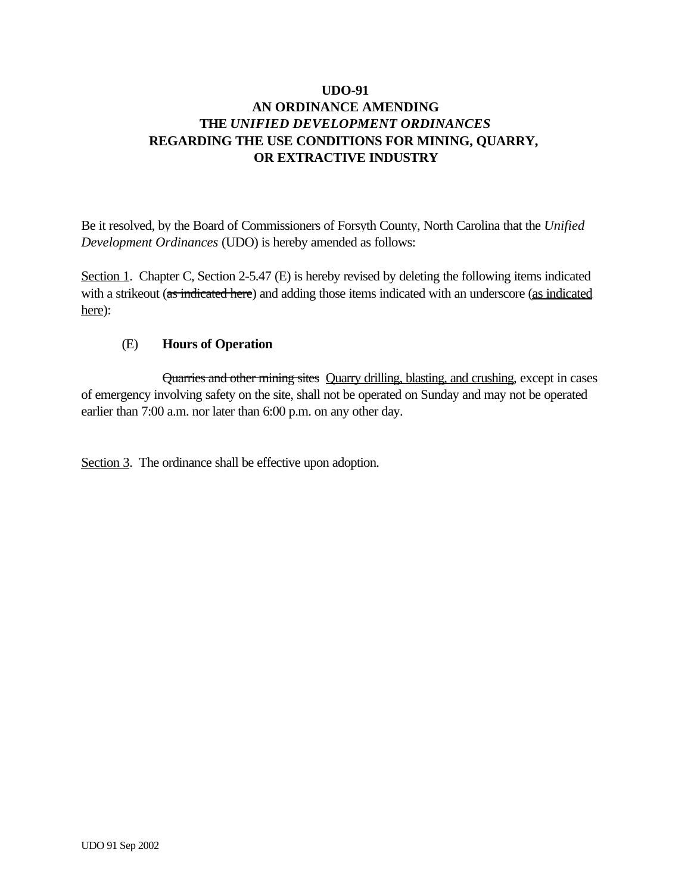Be it resolved, by the Board of Commissioners of Forsyth County, North Carolina that the *Unified Development Ordinances* (UDO) is hereby amended as follows:

Section 1. Chapter C, Section 2-5.47 (E) is hereby revised by deleting the following items indicated with a strikeout (as indicated here) and adding those items indicated with an underscore (as indicated here):

## (E) **Hours of Operation**

Quarries and other mining sites Quarry drilling, blasting, and crushing, except in cases of emergency involving safety on the site, shall not be operated on Sunday and may not be operated earlier than 7:00 a.m. nor later than 6:00 p.m. on any other day.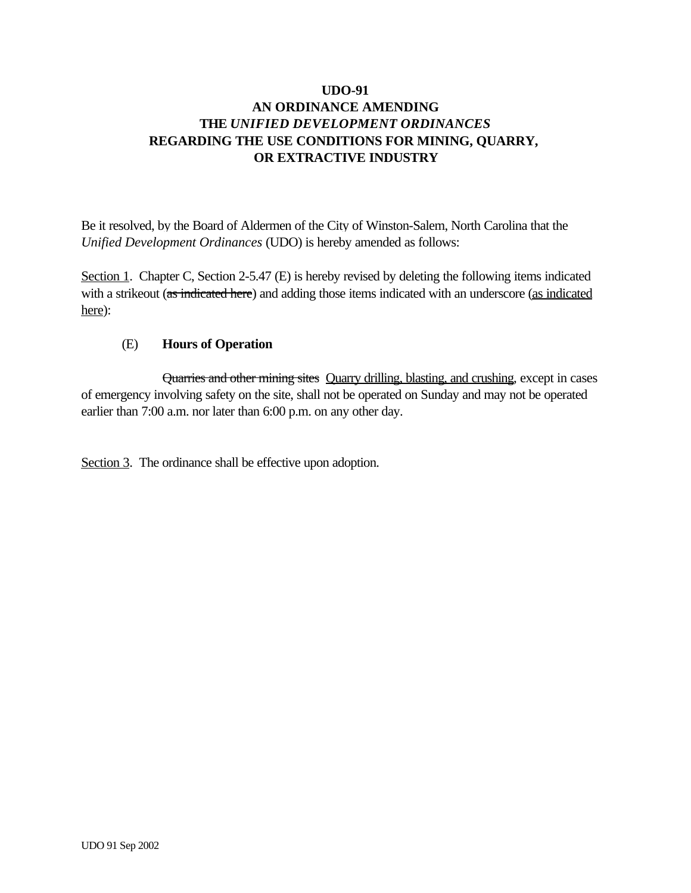Be it resolved, by the Board of Aldermen of the City of Winston-Salem, North Carolina that the *Unified Development Ordinances* (UDO) is hereby amended as follows:

Section 1. Chapter C, Section 2-5.47 (E) is hereby revised by deleting the following items indicated with a strikeout (as indicated here) and adding those items indicated with an underscore (as indicated here):

## (E) **Hours of Operation**

Quarries and other mining sites Quarry drilling, blasting, and crushing, except in cases of emergency involving safety on the site, shall not be operated on Sunday and may not be operated earlier than 7:00 a.m. nor later than 6:00 p.m. on any other day.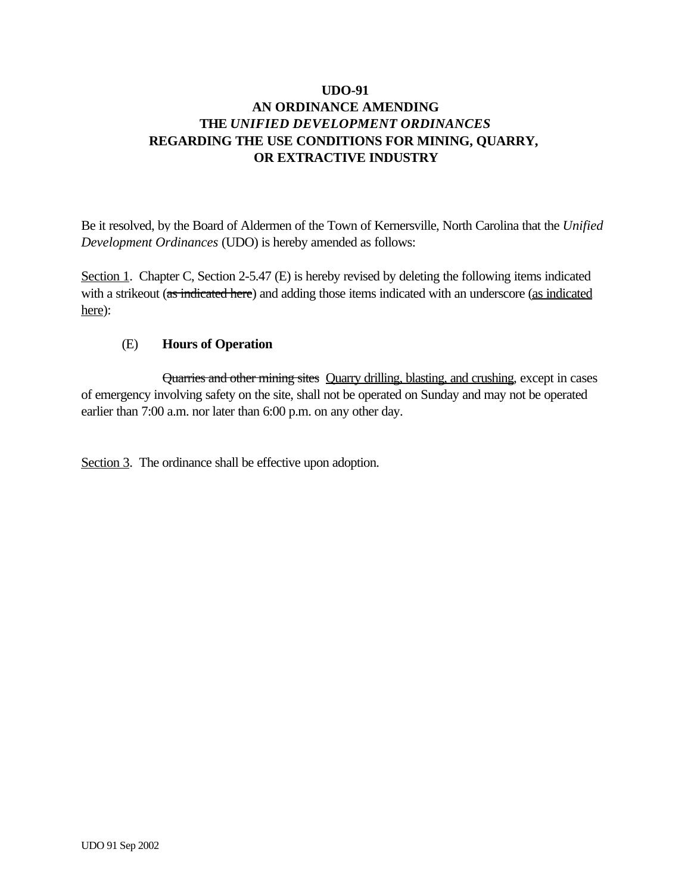Be it resolved, by the Board of Aldermen of the Town of Kernersville, North Carolina that the *Unified Development Ordinances* (UDO) is hereby amended as follows:

Section 1. Chapter C, Section 2-5.47 (E) is hereby revised by deleting the following items indicated with a strikeout (as indicated here) and adding those items indicated with an underscore (as indicated here):

## (E) **Hours of Operation**

Quarries and other mining sites Quarry drilling, blasting, and crushing, except in cases of emergency involving safety on the site, shall not be operated on Sunday and may not be operated earlier than 7:00 a.m. nor later than 6:00 p.m. on any other day.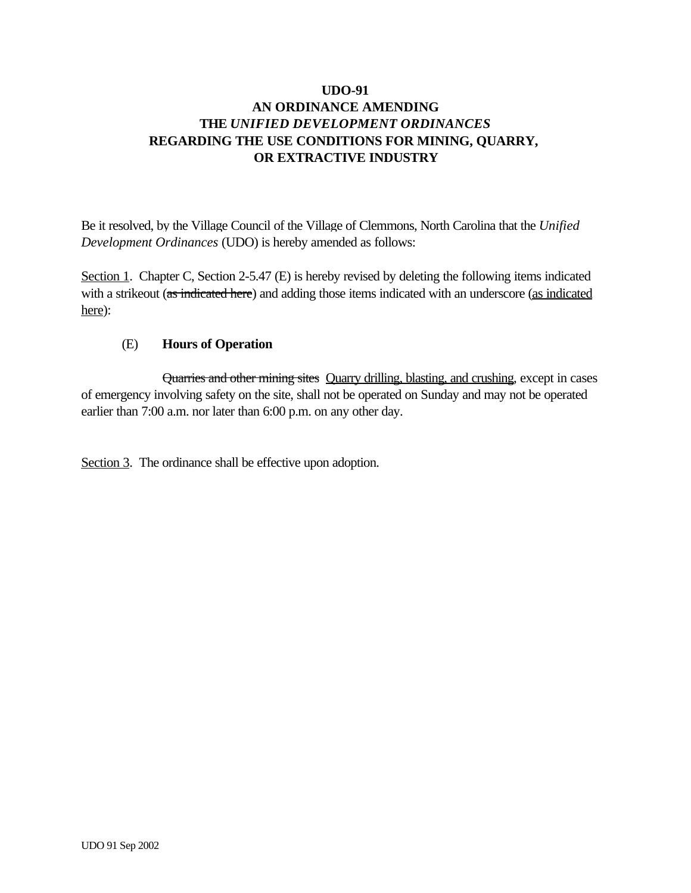Be it resolved, by the Village Council of the Village of Clemmons, North Carolina that the *Unified Development Ordinances* (UDO) is hereby amended as follows:

Section 1. Chapter C, Section 2-5.47 (E) is hereby revised by deleting the following items indicated with a strikeout (as indicated here) and adding those items indicated with an underscore (as indicated here):

## (E) **Hours of Operation**

Quarries and other mining sites Quarry drilling, blasting, and crushing, except in cases of emergency involving safety on the site, shall not be operated on Sunday and may not be operated earlier than 7:00 a.m. nor later than 6:00 p.m. on any other day.